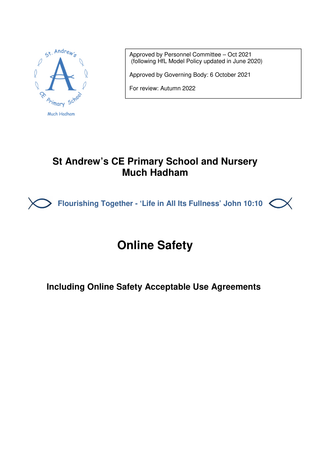

Approved by Personnel Committee – Oct 2021 (following HfL Model Policy updated in June 2020)

Approved by Governing Body: 6 October 2021

For review: Autumn 2022

# **St Andrew's CE Primary School and Nursery Much Hadham**



# **Online Safety**

## **Including Online Safety Acceptable Use Agreements**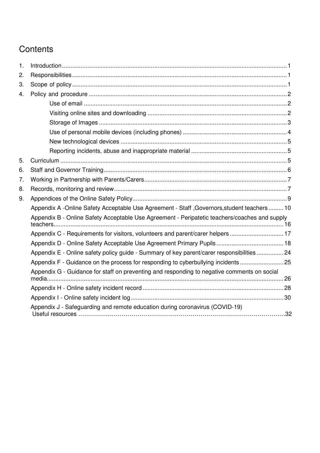# **Contents**

| $\mathbf{1}$ . |                                                                                               |  |  |  |
|----------------|-----------------------------------------------------------------------------------------------|--|--|--|
| 2.             |                                                                                               |  |  |  |
| 3.             |                                                                                               |  |  |  |
| 4.             |                                                                                               |  |  |  |
|                |                                                                                               |  |  |  |
|                |                                                                                               |  |  |  |
|                |                                                                                               |  |  |  |
|                |                                                                                               |  |  |  |
|                |                                                                                               |  |  |  |
|                |                                                                                               |  |  |  |
| 5.             |                                                                                               |  |  |  |
| 6.             |                                                                                               |  |  |  |
| 7.             |                                                                                               |  |  |  |
| 8.             |                                                                                               |  |  |  |
| 9.             |                                                                                               |  |  |  |
|                | Appendix A -Online Safety Acceptable Use Agreement - Staff , Governors, student teachers  10  |  |  |  |
|                | Appendix B - Online Safety Acceptable Use Agreement - Peripatetic teachers/coaches and supply |  |  |  |
|                | Appendix C - Requirements for visitors, volunteers and parent/carer helpers  17               |  |  |  |
|                |                                                                                               |  |  |  |
|                | Appendix E - Online safety policy guide - Summary of key parent/carer responsibilities 24     |  |  |  |
|                | Appendix F - Guidance on the process for responding to cyberbullying incidents  25            |  |  |  |
|                | Appendix G - Guidance for staff on preventing and responding to negative comments on social   |  |  |  |
|                |                                                                                               |  |  |  |
|                |                                                                                               |  |  |  |
|                | Appendix J - Safeguarding and remote education during coronavirus (COVID-19)                  |  |  |  |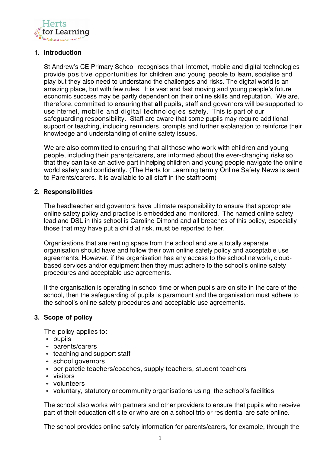

#### **1. Introduction**

St Andrew's CE Primary School recognises that internet, mobile and digital technologies provide positive opportunities for children and young people to learn, socialise and play but they also need to understand the challenges and risks. The digital world is an amazing place, but with few rules. It is vast and fast moving and young people's future economic success may be partly dependent on their online skills and reputation. We are, therefore, committed to ensuring that **all** pupils, staff and governors will be supported to use internet, mobile and digital technologies safely. This is part of our safeguarding responsibility. Staff are aware that some pupils may require additional support or teaching, including reminders, prompts and further explanation to reinforce their knowledge and understanding of online safety issues.

We are also committed to ensuring that all those who work with children and young people, including their parents/carers, are informed about the ever-changing risks so that they can take an active part in helping children and young people navigate the online world safely and confidently. (The Herts for Learning termly Online Safety News is sent to Parents/carers. It is available to all staff in the staffroom)

#### **2. Responsibilities**

The headteacher and governors have ultimate responsibility to ensure that appropriate online safety policy and practice is embedded and monitored. The named online safety lead and DSL in this school is Caroline Dimond and all breaches of this policy, especially those that may have put a child at risk, must be reported to her.

Organisations that are renting space from the school and are a totally separate organisation should have and follow their own online safety policy and acceptable use agreements. However, if the organisation has any access to the school network, cloudbased services and/or equipment then they must adhere to the school's online safety procedures and acceptable use agreements.

If the organisation is operating in school time or when pupils are on site in the care of the school, then the safeguarding of pupils is paramount and the organisation must adhere to the school's online safety procedures and acceptable use agreements.

#### **3. Scope of policy**

The policy applies to:

- pupils
- parents/carers
- teaching and support staff
- school governors
- peripatetic teachers/coaches, supply teachers, student teachers
- visitors
- volunteers
- voluntary, statutory or community organisations using the school's facilities

The school also works with partners and other providers to ensure that pupils who receive part of their education off site or who are on a school trip or residential are safe online.

The school provides online safety information for parents/carers, for example, through the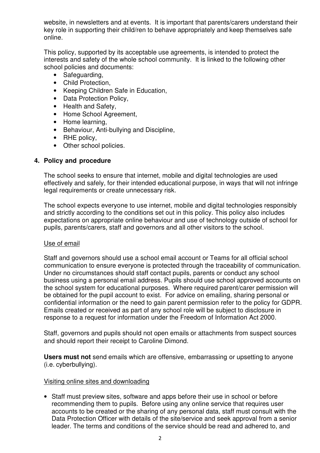website, in newsletters and at events. It is important that parents/carers understand their key role in supporting their child/ren to behave appropriately and keep themselves safe online.

This policy, supported by its acceptable use agreements, is intended to protect the interests and safety of the whole school community. It is linked to the following other school policies and documents:

- Safeguarding,
- Child Protection,
- Keeping Children Safe in Education,
- Data Protection Policy,
- Health and Safety,
- Home School Agreement,
- Home learning,
- Behaviour, Anti-bullying and Discipline,
- RHE policy,
- Other school policies.

#### **4. Policy and procedure**

The school seeks to ensure that internet, mobile and digital technologies are used effectively and safely, for their intended educational purpose, in ways that will not infringe legal requirements or create unnecessary risk.

The school expects everyone to use internet, mobile and digital technologies responsibly and strictly according to the conditions set out in this policy. This policy also includes expectations on appropriate online behaviour and use of technology outside of school for pupils, parents/carers, staff and governors and all other visitors to the school.

#### Use of email

Staff and governors should use a school email account or Teams for all official school communication to ensure everyone is protected through the traceability of communication. Under no circumstances should staff contact pupils, parents or conduct any school business using a personal email address. Pupils should use school approved accounts on the school system for educational purposes. Where required parent/carer permission will be obtained for the pupil account to exist. For advice on emailing, sharing personal or confidential information or the need to gain parent permission refer to the policy for GDPR. Emails created or received as part of any school role will be subject to disclosure in response to a request for information under the Freedom of Information Act 2000.

Staff, governors and pupils should not open emails or attachments from suspect sources and should report their receipt to Caroline Dimond.

**Users must not** send emails which are offensive, embarrassing or upsetting to anyone (i.e. cyberbullying).

#### Visiting online sites and downloading

• Staff must preview sites, software and apps before their use in school or before recommending them to pupils. Before using any online service that requires user accounts to be created or the sharing of any personal data, staff must consult with the Data Protection Officer with details of the site/service and seek approval from a senior leader. The terms and conditions of the service should be read and adhered to, and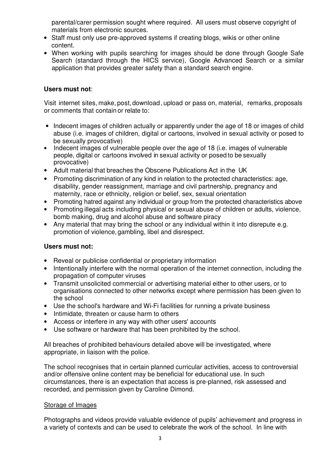parental/carer permission sought where required. All users must observe copyright of materials from electronic sources.

- Staff must only use pre-approved systems if creating blogs, wikis or other online content.
- When working with pupils searching for images should be done through Google Safe Search (standard through the HICS service), Google Advanced Search or a similar application that provides greater safety than a standard search engine.

#### **Users must not**:

Visit internet sites, make, post, download, upload or pass on, material, remarks, proposals or comments that contain or relate to:

- Indecent images of children actually or apparently under the age of 18 or images of child abuse (i.e. images of children, digital or cartoons, involved in sexual activity or posed to be sexually provocative)
- Indecent images of vulnerable people over the age of 18 (i.e. images of vulnerable people, digital or cartoons involved in sexual activity or posed to be sexually provocative)
- Adult material that breaches the Obscene Publications Act in the UK
- Promoting discrimination of any kind in relation to the protected characteristics: age, disability, gender reassignment, marriage and civil partnership, pregnancy and maternity, race or ethnicity, religion or belief, sex, sexual orientation
- Promoting hatred against any individual or group from the protected characteristics above
- Promoting illegal acts including physical or sexual abuse of children or adults, violence, bomb making, drug and alcohol abuse and software piracy
- Any material that may bring the school or any individual within it into disrepute e.g. promotion of violence, gambling, libel and disrespect.

#### **Users must not:**

- Reveal or publicise confidential or proprietary information
- Intentionally interfere with the normal operation of the internet connection, including the propagation of computer viruses
- Transmit unsolicited commercial or advertising material either to other users, or to organisations connected to other networks except where permission has been given to the school
- Use the school's hardware and Wi-Fi facilities for running a private business
- Intimidate, threaten or cause harm to others
- Access or interfere in any way with other users' accounts
- Use software or hardware that has been prohibited by the school.

All breaches of prohibited behaviours detailed above will be investigated, where appropriate, in liaison with the police.

The school recognises that in certain planned curricular activities, access to controversial and/or offensive online content may be beneficial for educational use. In such circumstances, there is an expectation that access is pre-planned, risk assessed and recorded, and permission given by Caroline Dimond.

#### Storage of Images

Photographs and videos provide valuable evidence of pupils' achievement and progress in a variety of contexts and can be used to celebrate the work of the school. In line with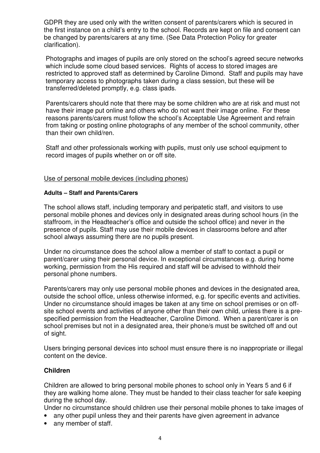GDPR they are used only with the written consent of parents/carers which is secured in the first instance on a child's entry to the school. Records are kept on file and consent can be changed by parents/carers at any time. (See Data Protection Policy for greater clarification).

Photographs and images of pupils are only stored on the school's agreed secure networks which include some cloud based services. Rights of access to stored images are restricted to approved staff as determined by Caroline Dimond. Staff and pupils may have temporary access to photographs taken during a class session, but these will be transferred/deleted promptly, e.g. class ipads.

Parents/carers should note that there may be some children who are at risk and must not have their image put online and others who do not want their image online. For these reasons parents/carers must follow the school's Acceptable Use Agreement and refrain from taking or posting online photographs of any member of the school community, other than their own child/ren.

Staff and other professionals working with pupils, must only use school equipment to record images of pupils whether on or off site.

#### Use of personal mobile devices (including phones)

#### **Adults – Staff and Parents/Carers**

The school allows staff, including temporary and peripatetic staff, and visitors to use personal mobile phones and devices only in designated areas during school hours (in the staffroom, in the Headteacher's office and outside the school office) and never in the presence of pupils. Staff may use their mobile devices in classrooms before and after school always assuming there are no pupils present.

Under no circumstance does the school allow a member of staff to contact a pupil or parent/carer using their personal device. In exceptional circumstances e.g. during home working, permission from the His required and staff will be advised to withhold their personal phone numbers.

Parents/carers may only use personal mobile phones and devices in the designated area, outside the school office, unless otherwise informed, e.g. for specific events and activities. Under no circumstance should images be taken at any time on school premises or on offsite school events and activities of anyone other than their own child, unless there is a prespecified permission from the Headteacher, Caroline Dimond. When a parent/carer is on school premises but not in a designated area, their phone/s must be switched off and out of sight.

Users bringing personal devices into school must ensure there is no inappropriate or illegal content on the device.

#### **Children**

Children are allowed to bring personal mobile phones to school only in Years 5 and 6 if they are walking home alone. They must be handed to their class teacher for safe keeping during the school day.

Under no circumstance should children use their personal mobile phones to take images of

- any other pupil unless they and their parents have given agreement in advance
- any member of staff.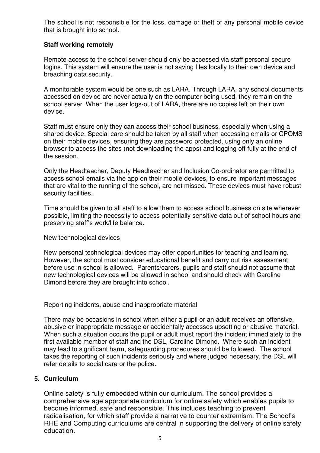The school is not responsible for the loss, damage or theft of any personal mobile device that is brought into school.

#### **Staff working remotely**

Remote access to the school server should only be accessed via staff personal secure logins. This system will ensure the user is not saving files locally to their own device and breaching data security.

A monitorable system would be one such as LARA. Through LARA, any school documents accessed on device are never actually on the computer being used, they remain on the school server. When the user logs-out of LARA, there are no copies left on their own device.

Staff must ensure only they can access their school business, especially when using a shared device. Special care should be taken by all staff when accessing emails or CPOMS on their mobile devices, ensuring they are password protected, using only an online browser to access the sites (not downloading the apps) and logging off fully at the end of the session.

Only the Headteacher, Deputy Headteacher and Inclusion Co-ordinator are permitted to access school emails via the app on their mobile devices, to ensure important messages that are vital to the running of the school, are not missed. These devices must have robust security facilities.

Time should be given to all staff to allow them to access school business on site wherever possible, limiting the necessity to access potentially sensitive data out of school hours and preserving staff's work/life balance.

#### New technological devices

New personal technological devices may offer opportunities for teaching and learning. However, the school must consider educational benefit and carry out risk assessment before use in school is allowed. Parents/carers, pupils and staff should not assume that new technological devices will be allowed in school and should check with Caroline Dimond before they are brought into school.

#### Reporting incidents, abuse and inappropriate material

There may be occasions in school when either a pupil or an adult receives an offensive, abusive or inappropriate message or accidentally accesses upsetting or abusive material. When such a situation occurs the pupil or adult must report the incident immediately to the first available member of staff and the DSL, Caroline Dimond. Where such an incident may lead to significant harm, safeguarding procedures should be followed. The school takes the reporting of such incidents seriously and where judged necessary, the DSL will refer details to social care or the police.

#### **5. Curriculum**

Online safety is fully embedded within our curriculum. The school provides a comprehensive age appropriate curriculum for online safety which enables pupils to become informed, safe and responsible. This includes teaching to prevent radicalisation, for which staff provide a narrative to counter extremism. The School's RHE and Computing curriculums are central in supporting the delivery of online safety education.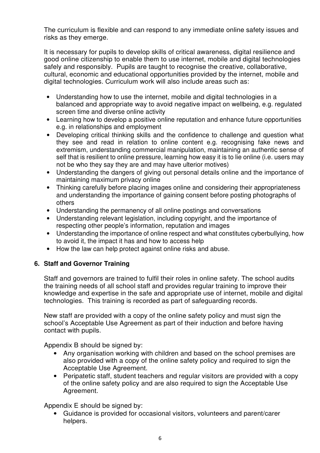The curriculum is flexible and can respond to any immediate online safety issues and risks as they emerge.

It is necessary for pupils to develop skills of critical awareness, digital resilience and good online citizenship to enable them to use internet, mobile and digital technologies safely and responsibly. Pupils are taught to recognise the creative, collaborative, cultural, economic and educational opportunities provided by the internet, mobile and digital technologies. Curriculum work will also include areas such as:

- Understanding how to use the internet, mobile and digital technologies in a balanced and appropriate way to avoid negative impact on wellbeing, e.g. regulated screen time and diverse online activity
- Learning how to develop a positive online reputation and enhance future opportunities e.g. in relationships and employment
- Developing critical thinking skills and the confidence to challenge and question what they see and read in relation to online content e.g. recognising fake news and extremism, understanding commercial manipulation, maintaining an authentic sense of self that is resilient to online pressure, learning how easy it is to lie online (i.e. users may not be who they say they are and may have ulterior motives)
- Understanding the dangers of giving out personal details online and the importance of maintaining maximum privacy online
- Thinking carefully before placing images online and considering their appropriateness and understanding the importance of gaining consent before posting photographs of others
- Understanding the permanency of all online postings and conversations
- Understanding relevant legislation, including copyright, and the importance of respecting other people's information, reputation and images
- Understanding the importance of online respect and what constitutes cyberbullying, how to avoid it, the impact it has and how to access help
- How the law can help protect against online risks and abuse.

#### **6. Staff and Governor Training**

Staff and governors are trained to fulfil their roles in online safety. The school audits the training needs of all school staff and provides regular training to improve their knowledge and expertise in the safe and appropriate use of internet, mobile and digital technologies. This training is recorded as part of safeguarding records.

New staff are provided with a copy of the online safety policy and must sign the school's Acceptable Use Agreement as part of their induction and before having contact with pupils.

Appendix B should be signed by:

- Any organisation working with children and based on the school premises are also provided with a copy of the online safety policy and required to sign the Acceptable Use Agreement.
- Peripatetic staff, student teachers and regular visitors are provided with a copy of the online safety policy and are also required to sign the Acceptable Use Agreement.

Appendix E should be signed by:

• Guidance is provided for occasional visitors, volunteers and parent/carer helpers.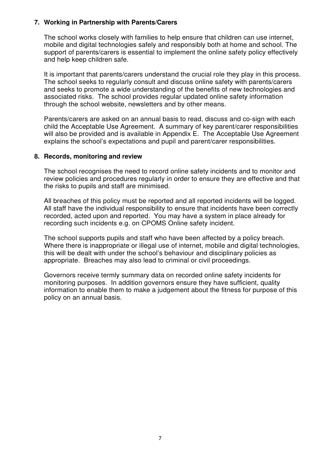#### **7. Working in Partnership with Parents/Carers**

The school works closely with families to help ensure that children can use internet, mobile and digital technologies safely and responsibly both at home and school. The support of parents/carers is essential to implement the online safety policy effectively and help keep children safe.

It is important that parents/carers understand the crucial role they play in this process. The school seeks to regularly consult and discuss online safety with parents/carers and seeks to promote a wide understanding of the benefits of new technologies and associated risks. The school provides regular updated online safety information through the school website, newsletters and by other means.

Parents/carers are asked on an annual basis to read, discuss and co-sign with each child the Acceptable Use Agreement. A summary of key parent/carer responsibilities will also be provided and is available in Appendix E. The Acceptable Use Agreement explains the school's expectations and pupil and parent/carer responsibilities.

#### **8. Records, monitoring and review**

The school recognises the need to record online safety incidents and to monitor and review policies and procedures regularly in order to ensure they are effective and that the risks to pupils and staff are minimised.

All breaches of this policy must be reported and all reported incidents will be logged. All staff have the individual responsibility to ensure that incidents have been correctly recorded, acted upon and reported. You may have a system in place already for recording such incidents e.g. on CPOMS Online safety incident.

The school supports pupils and staff who have been affected by a policy breach. Where there is inappropriate or illegal use of internet, mobile and digital technologies, this will be dealt with under the school's behaviour and disciplinary policies as appropriate. Breaches may also lead to criminal or civil proceedings.

Governors receive termly summary data on recorded online safety incidents for monitoring purposes. In addition governors ensure they have sufficient, quality information to enable them to make a judgement about the fitness for purpose of this policy on an annual basis.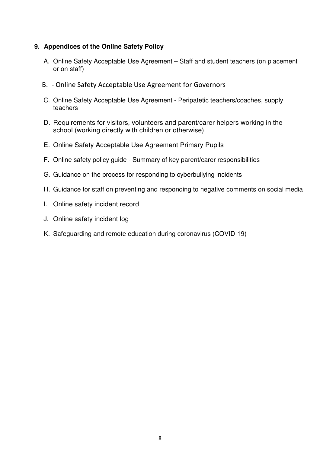#### **9. Appendices of the Online Safety Policy**

- A. Online Safety Acceptable Use Agreement Staff and student teachers (on placement or on staff)
- B. Online Safety Acceptable Use Agreement for Governors
- C. Online Safety Acceptable Use Agreement Peripatetic teachers/coaches, supply teachers
- D. Requirements for visitors, volunteers and parent/carer helpers working in the school (working directly with children or otherwise)
- E. Online Safety Acceptable Use Agreement Primary Pupils
- F. Online safety policy guide Summary of key parent/carer responsibilities
- G. Guidance on the process for responding to cyberbullying incidents
- H. Guidance for staff on preventing and responding to negative comments on social media
- I. Online safety incident record
- J. Online safety incident log
- K. Safeguarding and remote education during coronavirus (COVID-19)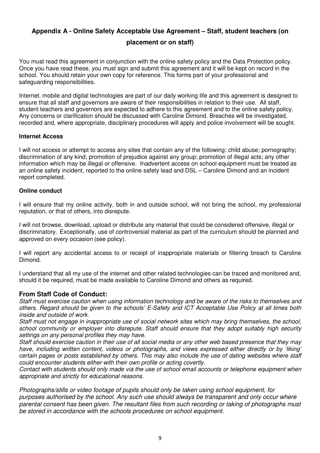# **Appendix A - Online Safety Acceptable Use Agreement – Staff, student teachers (on**

**placement or on staff)** 

You must read this agreement in conjunction with the online safety policy and the Data Protection policy. Once you have read these, you must sign and submit this agreement and it will be kept on record in the school. You should retain your own copy for reference. This forms part of your professional and safeguarding responsibilities.

Internet, mobile and digital technologies are part of our daily working life and this agreement is designed to ensure that all staff and governors are aware of their responsibilities in relation to their use. All staff, student teachers and governors are expected to adhere to this agreement and to the online safety policy. Any concerns or clarification should be discussed with Caroline Dimond. Breaches will be investigated, recorded and, where appropriate, disciplinary procedures will apply and police involvement will be sought.

#### **Internet Access**

I will not access or attempt to access any sites that contain any of the following: child abuse; pornography; discrimination of any kind; promotion of prejudice against any group; promotion of illegal acts; any other information which may be illegal or offensive. Inadvertent access on school equipment must be treated as an online safety incident, reported to the online safety lead and DSL – Caroline Dimond and an incident report completed.

#### **Online conduct**

I will ensure that my online activity, both in and outside school, will not bring the school, my professional reputation, or that of others, into disrepute.

I will not browse, download, upload or distribute any material that could be considered offensive, illegal or discriminatory. Exceptionally, use of controversial material as part of the curriculum should be planned and approved on every occasion (see policy).

I will report any accidental access to or receipt of inappropriate materials or filtering breach to Caroline Dimond.

I understand that all my use of the internet and other related technologies can be traced and monitored and, should it be required, must be made available to Caroline Dimond and others as required.

#### **From Staff Code of Conduct:**

Staff must exercise caution when using information technology and be aware of the risks to themselves and others. Regard should be given to the schools' E-Safety and ICT Acceptable Use Policy at all times both inside and outside of work.

Staff must not engage in inappropriate use of social network sites which may bring themselves, the school, school community or employer into disrepute. Staff should ensure that they adopt suitably high security settings on any personal profiles they may have.

Staff should exercise caution in their use of all social media or any other web based presence that they may have, including written content, videos or photographs, and views expressed either directly or by 'liking' certain pages or posts established by others. This may also include the use of dating websites where staff could encounter students either with their own profile or acting covertly.

Contact with students should only made via the use of school email accounts or telephone equipment when appropriate and strictly for educational reasons.

Photographs/stills or video footage of pupils should only be taken using school equipment, for purposes authorised by the school. Any such use should always be transparent and only occur where parental consent has been given. The resultant files from such recording or taking of photographs must be stored in accordance with the schools procedures on school equipment.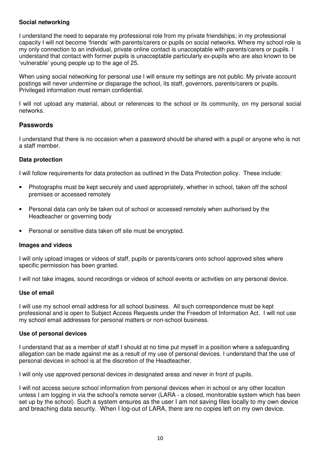#### **Social networking**

I understand the need to separate my professional role from my private friendships; in my professional capacity I will not become 'friends' with parents/carers or pupils on social networks. Where my school role is my only connection to an individual, private online contact is unacceptable with parents/carers or pupils. I understand that contact with former pupils is unacceptable particularly ex-pupils who are also known to be 'vulnerable' young people up to the age of 25.

When using social networking for personal use I will ensure my settings are not public. My private account postings will never undermine or disparage the school, its staff, governors, parents/carers or pupils. Privileged information must remain confidential.

I will not upload any material, about or references to the school or its community, on my personal social networks.

#### **Passwords**

I understand that there is no occasion when a password should be shared with a pupil or anyone who is not a staff member.

#### **Data protection**

I will follow requirements for data protection as outlined in the Data Protection policy. These include:

- Photographs must be kept securely and used appropriately, whether in school, taken off the school premises or accessed remotely
- Personal data can only be taken out of school or accessed remotely when authorised by the Headteacher or governing body
- Personal or sensitive data taken off site must be encrypted.

#### **Images and videos**

I will only upload images or videos of staff, pupils or parents/carers onto school approved sites where specific permission has been granted.

I will not take images, sound recordings or videos of school events or activities on any personal device.

#### **Use of email**

I will use my school email address for all school business. All such correspondence must be kept professional and is open to Subject Access Requests under the Freedom of Information Act. I will not use my school email addresses for personal matters or non-school business.

#### **Use of personal devices**

I understand that as a member of staff I should at no time put myself in a position where a safeguarding allegation can be made against me as a result of my use of personal devices. I understand that the use of personal devices in school is at the discretion of the Headteacher.

I will only use approved personal devices in designated areas and never in front of pupils.

I will not access secure school information from personal devices when in school or any other location unless I am logging in via the school's remote server (LARA - a closed, monitorable system which has been set up by the school). Such a system ensures as the user I am not saving files locally to my own device and breaching data security. When I log-out of LARA, there are no copies left on my own device.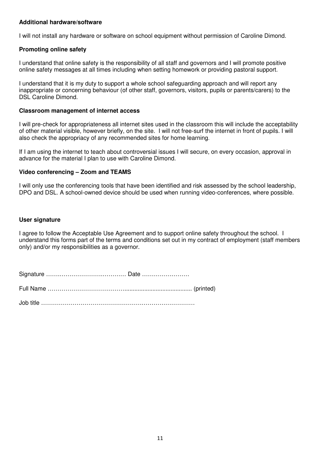#### **Additional hardware/software**

I will not install any hardware or software on school equipment without permission of Caroline Dimond.

#### **Promoting online safety**

I understand that online safety is the responsibility of all staff and governors and I will promote positive online safety messages at all times including when setting homework or providing pastoral support.

I understand that it is my duty to support a whole school safeguarding approach and will report any inappropriate or concerning behaviour (of other staff, governors, visitors, pupils or parents/carers) to the DSL Caroline Dimond.

#### **Classroom management of internet access**

I will pre-check for appropriateness all internet sites used in the classroom this will include the acceptability of other material visible, however briefly, on the site. I will not free-surf the internet in front of pupils. I will also check the appropriacy of any recommended sites for home learning.

If I am using the internet to teach about controversial issues I will secure, on every occasion, approval in advance for the material I plan to use with Caroline Dimond.

#### **Video conferencing – Zoom and TEAMS**

I will only use the conferencing tools that have been identified and risk assessed by the school leadership, DPO and DSL. A school-owned device should be used when running video-conferences, where possible.

#### **User signature**

I agree to follow the Acceptable Use Agreement and to support online safety throughout the school. I understand this forms part of the terms and conditions set out in my contract of employment (staff members only) and/or my responsibilities as a governor.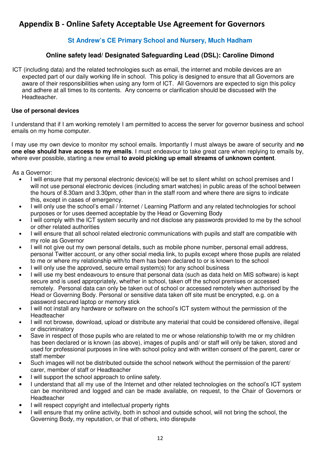### **Appendix B - Online Safety Acceptable Use Agreement for Governors**

#### **St Andrew's CE Primary School and Nursery, Much Hadham**

#### **Online safety lead/ Designated Safeguarding Lead (DSL): Caroline Dimond**

ICT (including data) and the related technologies such as email, the internet and mobile devices are an expected part of our daily working life in school. This policy is designed to ensure that all Governors are aware of their responsibilities when using any form of ICT. All Governors are expected to sign this policy and adhere at all times to its contents. Any concerns or clarification should be discussed with the Headteacher.

#### **Use of personal devices**

I understand that if I am working remotely I am permitted to access the server for governor business and school emails on my home computer.

I may use my own device to monitor my school emails. Importantly I must always be aware of security and **no one else should have access to my emails**. I must endeavour to take great care when replying to emails by, where ever possible, starting a new email **to avoid picking up email streams of unknown content**.

As a Governor:

- I will ensure that my personal electronic device(s) will be set to silent whilst on school premises and I will not use personal electronic devices (including smart watches) in public areas of the school between the hours of 8.30am and 3.30pm, other than in the staff room and where there are signs to indicate this, except in cases of emergency.
- I will only use the school's email / Internet / Learning Platform and any related technologies for school purposes or for uses deemed acceptable by the Head or Governing Body
- I will comply with the ICT system security and not disclose any passwords provided to me by the school or other related authorities
- I will ensure that all school related electronic communications with pupils and staff are compatible with my role as Governor
- I will not give out my own personal details, such as mobile phone number, personal email address, personal Twitter account, or any other social media link, to pupils except where those pupils are related to me or where my relationship with/to them has been declared to or is known to the school
- I will only use the approved, secure email system(s) for any school business
- I will use my best endeavours to ensure that personal data (such as data held on MIS software) is kept secure and is used appropriately, whether in school, taken off the school premises or accessed remotely. Personal data can only be taken out of school or accessed remotely when authorised by the Head or Governing Body. Personal or sensitive data taken off site must be encrypted, e.g. on a password secured laptop or memory stick
- I will not install any hardware or software on the school's ICT system without the permission of the Headteacher
- I will not browse, download, upload or distribute any material that could be considered offensive, illegal or discriminatory
- Save in respect of those pupils who are related to me or whose relationship to/with me or my children has been declared or is known (as above), images of pupils and/ or staff will only be taken, stored and used for professional purposes in line with school policy and with written consent of the parent, carer or staff member
- Such images will not be distributed outside the school network without the permission of the parent/ carer, member of staff or Headteacher
- I will support the school approach to online safety.
- I understand that all my use of the Internet and other related technologies on the school's ICT system can be monitored and logged and can be made available, on request, to the Chair of Governors or Headteacher
- I will respect copyright and intellectual property rights
- I will ensure that my online activity, both in school and outside school, will not bring the school, the Governing Body, my reputation, or that of others, into disrepute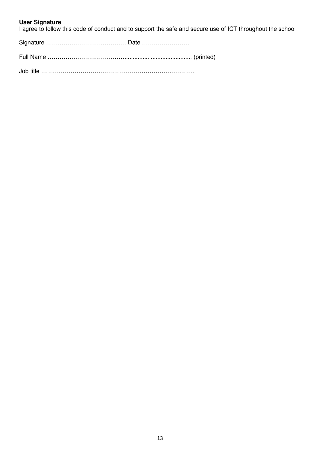#### **User Signature**

I agree to follow this code of conduct and to support the safe and secure use of ICT throughout the school

Signature …….………………….………… Date ……………………

Job title ……………………………………………………………………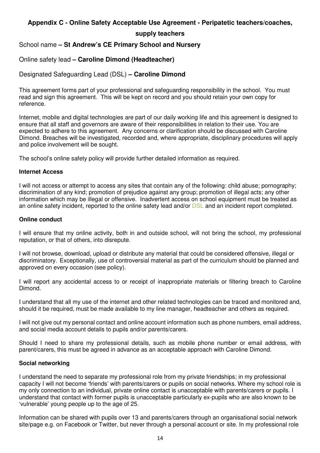#### **Appendix C - Online Safety Acceptable Use Agreement - Peripatetic teachers/coaches,**

#### **supply teachers**

School name **– St Andrew's CE Primary School and Nursery** 

#### Online safety lead **– Caroline Dimond (Headteacher)**

#### Designated Safeguarding Lead (DSL) **– Caroline Dimond**

This agreement forms part of your professional and safeguarding responsibility in the school. You must read and sign this agreement. This will be kept on record and you should retain your own copy for reference.

Internet, mobile and digital technologies are part of our daily working life and this agreement is designed to ensure that all staff and governors are aware of their responsibilities in relation to their use. You are expected to adhere to this agreement. Any concerns or clarification should be discussed with Caroline Dimond. Breaches will be investigated, recorded and, where appropriate, disciplinary procedures will apply and police involvement will be sought.

The school's online safety policy will provide further detailed information as required.

#### **Internet Access**

I will not access or attempt to access any sites that contain any of the following: child abuse; pornography; discrimination of any kind; promotion of prejudice against any group; promotion of illegal acts; any other information which may be illegal or offensive. Inadvertent access on school equipment must be treated as an online safety incident, reported to the online safety lead and/or DSL and an incident report completed.

#### **Online conduct**

I will ensure that my online activity, both in and outside school, will not bring the school, my professional reputation, or that of others, into disrepute.

I will not browse, download, upload or distribute any material that could be considered offensive, illegal or discriminatory. Exceptionally, use of controversial material as part of the curriculum should be planned and approved on every occasion (see policy).

I will report any accidental access to or receipt of inappropriate materials or filtering breach to Caroline Dimond.

I understand that all my use of the internet and other related technologies can be traced and monitored and, should it be required, must be made available to my line manager, headteacher and others as required.

I will not give out my personal contact and online account information such as phone numbers, email address, and social media account details to pupils and/or parents/carers.

Should I need to share my professional details, such as mobile phone number or email address, with parent/carers, this must be agreed in advance as an acceptable approach with Caroline Dimond.

#### **Social networking**

I understand the need to separate my professional role from my private friendships; in my professional capacity I will not become 'friends' with parents/carers or pupils on social networks. Where my school role is my only connection to an individual, private online contact is unacceptable with parents/carers or pupils. I understand that contact with former pupils is unacceptable particularly ex-pupils who are also known to be 'vulnerable' young people up to the age of 25.

Information can be shared with pupils over 13 and parents/carers through an organisational social network site/page e.g. on Facebook or Twitter, but never through a personal account or site. In my professional role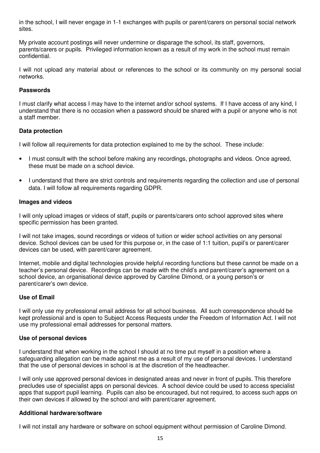in the school, I will never engage in 1-1 exchanges with pupils or parent/carers on personal social network sites.

My private account postings will never undermine or disparage the school, its staff, governors, parents/carers or pupils. Privileged information known as a result of my work in the school must remain confidential.

I will not upload any material about or references to the school or its community on my personal social networks.

#### **Passwords**

I must clarify what access I may have to the internet and/or school systems. If I have access of any kind, I understand that there is no occasion when a password should be shared with a pupil or anyone who is not a staff member.

#### **Data protection**

I will follow all requirements for data protection explained to me by the school. These include:

- I must consult with the school before making any recordings, photographs and videos. Once agreed, these must be made on a school device.
- I understand that there are strict controls and requirements regarding the collection and use of personal data. I will follow all requirements regarding GDPR.

#### **Images and videos**

I will only upload images or videos of staff, pupils or parents/carers onto school approved sites where specific permission has been granted.

I will not take images, sound recordings or videos of tuition or wider school activities on any personal device. School devices can be used for this purpose or, in the case of 1:1 tuition, pupil's or parent/carer devices can be used, with parent/carer agreement.

Internet, mobile and digital technologies provide helpful recording functions but these cannot be made on a teacher's personal device. Recordings can be made with the child's and parent/carer's agreement on a school device, an organisational device approved by Caroline Dimond, or a young person's or parent/carer's own device.

#### **Use of Email**

I will only use my professional email address for all school business. All such correspondence should be kept professional and is open to Subject Access Requests under the Freedom of Information Act. I will not use my professional email addresses for personal matters.

#### **Use of personal devices**

I understand that when working in the school I should at no time put myself in a position where a safeguarding allegation can be made against me as a result of my use of personal devices. I understand that the use of personal devices in school is at the discretion of the headteacher.

I will only use approved personal devices in designated areas and never in front of pupils. This therefore precludes use of specialist apps on personal devices. A school device could be used to access specialist apps that support pupil learning. Pupils can also be encouraged, but not required, to access such apps on their own devices if allowed by the school and with parent/carer agreement.

#### **Additional hardware/software**

I will not install any hardware or software on school equipment without permission of Caroline Dimond.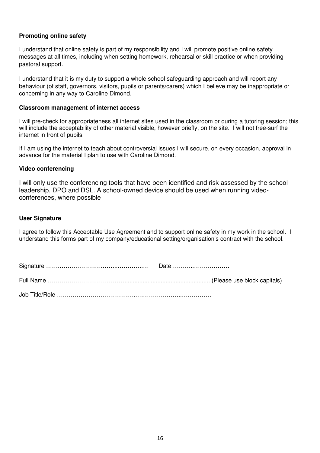#### **Promoting online safety**

I understand that online safety is part of my responsibility and I will promote positive online safety messages at all times, including when setting homework, rehearsal or skill practice or when providing pastoral support.

I understand that it is my duty to support a whole school safeguarding approach and will report any behaviour (of staff, governors, visitors, pupils or parents/carers) which I believe may be inappropriate or concerning in any way to Caroline Dimond.

#### **Classroom management of internet access**

I will pre-check for appropriateness all internet sites used in the classroom or during a tutoring session; this will include the acceptability of other material visible, however briefly, on the site. I will not free-surf the internet in front of pupils.

If I am using the internet to teach about controversial issues I will secure, on every occasion, approval in advance for the material I plan to use with Caroline Dimond.

#### **Video conferencing**

I will only use the conferencing tools that have been identified and risk assessed by the school leadership, DPO and DSL. A school-owned device should be used when running videoconferences, where possible

#### **User Signature**

I agree to follow this Acceptable Use Agreement and to support online safety in my work in the school. I understand this forms part of my company/educational setting/organisation's contract with the school.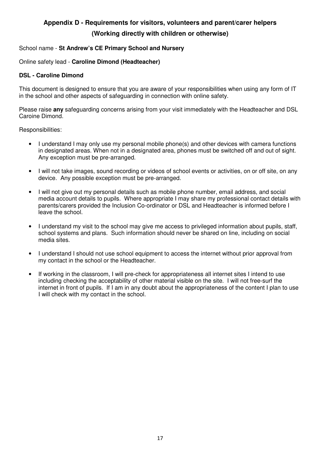### **Appendix D - Requirements for visitors, volunteers and parent/carer helpers (Working directly with children or otherwise)**

#### School name - **St Andrew's CE Primary School and Nursery**

#### Online safety lead - **Caroline Dimond (Headteacher)**

#### **DSL - Caroline Dimond**

This document is designed to ensure that you are aware of your responsibilities when using any form of IT in the school and other aspects of safeguarding in connection with online safety.

Please raise **any** safeguarding concerns arising from your visit immediately with the Headteacher and DSL Caroine Dimond.

Responsibilities:

- I understand I may only use my personal mobile phone(s) and other devices with camera functions in designated areas. When not in a designated area, phones must be switched off and out of sight. Any exception must be pre-arranged.
- I will not take images, sound recording or videos of school events or activities, on or off site, on any device. Any possible exception must be pre-arranged.
- I will not give out my personal details such as mobile phone number, email address, and social media account details to pupils. Where appropriate I may share my professional contact details with parents/carers provided the Inclusion Co-ordinator or DSL and Headteacher is informed before I leave the school.
- I understand my visit to the school may give me access to privileged information about pupils, staff, school systems and plans. Such information should never be shared on line, including on social media sites.
- I understand I should not use school equipment to access the internet without prior approval from my contact in the school or the Headteacher.
- If working in the classroom, I will pre-check for appropriateness all internet sites I intend to use including checking the acceptability of other material visible on the site. I will not free-surf the internet in front of pupils. If I am in any doubt about the appropriateness of the content I plan to use I will check with my contact in the school.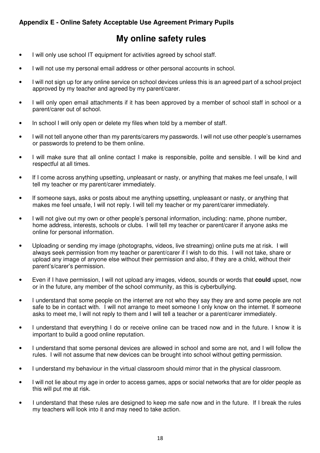#### **Appendix E - Online Safety Acceptable Use Agreement Primary Pupils**

## **My online safety rules**

- I will only use school IT equipment for activities agreed by school staff.
- I will not use my personal email address or other personal accounts in school.
- I will not sign up for any online service on school devices unless this is an agreed part of a school project approved by my teacher and agreed by my parent/carer.
- I will only open email attachments if it has been approved by a member of school staff in school or a parent/carer out of school.
- In school I will only open or delete my files when told by a member of staff.
- I will not tell anyone other than my parents/carers my passwords. I will not use other people's usernames or passwords to pretend to be them online.
- I will make sure that all online contact I make is responsible, polite and sensible. I will be kind and respectful at all times.
- If I come across anything upsetting, unpleasant or nasty, or anything that makes me feel unsafe, I will tell my teacher or my parent/carer immediately.
- If someone says, asks or posts about me anything upsetting, unpleasant or nasty, or anything that makes me feel unsafe, I will not reply. I will tell my teacher or my parent/carer immediately.
- I will not give out my own or other people's personal information, including: name, phone number, home address, interests, schools or clubs. I will tell my teacher or parent/carer if anyone asks me online for personal information.
- Uploading or sending my image (photographs, videos, live streaming) online puts me at risk. I will always seek permission from my teacher or parent/carer if I wish to do this. I will not take, share or upload any image of anyone else without their permission and also, if they are a child, without their parent's/carer's permission.
- Even if I have permission, I will not upload any images, videos, sounds or words that **could** upset, now or in the future, any member of the school community, as this is cyberbullying.
- I understand that some people on the internet are not who they say they are and some people are not safe to be in contact with. I will not arrange to meet someone I only know on the internet. If someone asks to meet me, I will not reply to them and I will tell a teacher or a parent/carer immediately.
- I understand that everything I do or receive online can be traced now and in the future. I know it is important to build a good online reputation.
- I understand that some personal devices are allowed in school and some are not, and I will follow the rules. I will not assume that new devices can be brought into school without getting permission.
- I understand my behaviour in the virtual classroom should mirror that in the physical classroom.
- I will not lie about my age in order to access games, apps or social networks that are for older people as this will put me at risk.
- I understand that these rules are designed to keep me safe now and in the future. If I break the rules my teachers will look into it and may need to take action.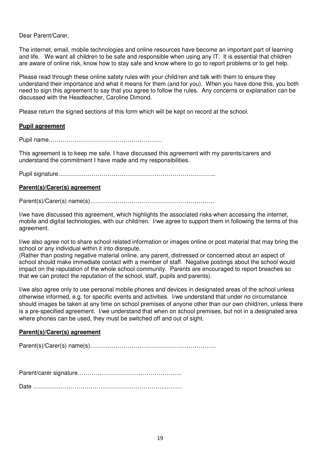Dear Parent/Carer,

The internet, email, mobile technologies and online resources have become an important part of learning and life. We want all children to be safe and responsible when using any IT. It is essential that children are aware of online risk, know how to stay safe and know where to go to report problems or to get help.

Please read through these online safety rules with your child/ren and talk with them to ensure they understand their importance and what it means for them (and for you). When you have done this, you both need to sign this agreement to say that you agree to follow the rules. Any concerns or explanation can be discussed with the Headteacher, Caroline Dimond.

Please return the signed sections of this form which will be kept on record at the school.

#### **Pupil agreement**

Pupil name……………………………………………….…

This agreement is to keep me safe. I have discussed this agreement with my parents/carers and understand the commitment I have made and my responsibilities.

Pupil signature……………………………………………………………………..

#### **Parent(s)/Carer(s) agreement**

Parent(s)/Carer(s) name(s)………………………………………………………

I/we have discussed this agreement, which highlights the associated risks when accessing the internet, mobile and digital technologies, with our child/ren. I/we agree to support them in following the terms of this agreement.

I/we also agree not to share school related information or images online or post material that may bring the school or any individual within it into disrepute.

(Rather than posting negative material online, any parent, distressed or concerned about an aspect of school should make immediate contact with a member of staff. Negative postings about the school would impact on the reputation of the whole school community. Parents are encouraged to report breaches so that we can protect the reputation of the school, staff, pupils and parents).

I/we also agree only to use personal mobile phones and devices in designated areas of the school unless otherwise informed, e.g. for specific events and activities. I/we understand that under no circumstance should images be taken at any time on school premises of anyone other than our own child/ren, unless there is a pre-specified agreement. I/we understand that when on school premises, but not in a designated area where phones can be used, they must be switched off and out of sight.

#### **Parent(s)/Carer(s) agreement**

Parent(s)/Carer(s) name(s)……………………………………………………….

Parent/carer signature……………………………………………..

Date …………………………………………………………...….…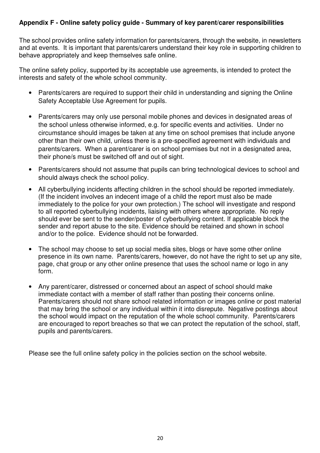#### **Appendix F - Online safety policy guide - Summary of key parent/carer responsibilities**

The school provides online safety information for parents/carers, through the website, in newsletters and at events. It is important that parents/carers understand their key role in supporting children to behave appropriately and keep themselves safe online.

The online safety policy, supported by its acceptable use agreements, is intended to protect the interests and safety of the whole school community.

- Parents/carers are required to support their child in understanding and signing the Online Safety Acceptable Use Agreement for pupils.
- Parents/carers may only use personal mobile phones and devices in designated areas of the school unless otherwise informed, e.g. for specific events and activities. Under no circumstance should images be taken at any time on school premises that include anyone other than their own child, unless there is a pre-specified agreement with individuals and parents/carers. When a parent/carer is on school premises but not in a designated area, their phone/s must be switched off and out of sight.
- Parents/carers should not assume that pupils can bring technological devices to school and should always check the school policy.
- All cyberbullying incidents affecting children in the school should be reported immediately. (If the incident involves an indecent image of a child the report must also be made immediately to the police for your own protection.) The school will investigate and respond to all reported cyberbullying incidents, liaising with others where appropriate. No reply should ever be sent to the sender/poster of cyberbullying content. If applicable block the sender and report abuse to the site. Evidence should be retained and shown in school and/or to the police. Evidence should not be forwarded.
- The school may choose to set up social media sites, blogs or have some other online presence in its own name. Parents/carers, however, do not have the right to set up any site, page, chat group or any other online presence that uses the school name or logo in any form.
- Any parent/carer, distressed or concerned about an aspect of school should make immediate contact with a member of staff rather than posting their concerns online. Parents/carers should not share school related information or images online or post material that may bring the school or any individual within it into disrepute. Negative postings about the school would impact on the reputation of the whole school community. Parents/carers are encouraged to report breaches so that we can protect the reputation of the school, staff, pupils and parents/carers.

Please see the full online safety policy in the policies section on the school website.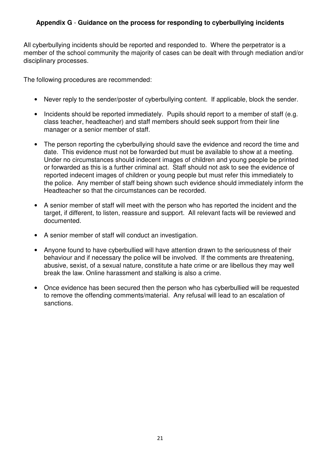#### **Appendix G** - **Guidance on the process for responding to cyberbullying incidents**

All cyberbullying incidents should be reported and responded to. Where the perpetrator is a member of the school community the majority of cases can be dealt with through mediation and/or disciplinary processes.

The following procedures are recommended:

- Never reply to the sender/poster of cyberbullying content. If applicable, block the sender.
- Incidents should be reported immediately. Pupils should report to a member of staff (e.g. class teacher, headteacher) and staff members should seek support from their line manager or a senior member of staff.
- The person reporting the cyberbullying should save the evidence and record the time and date. This evidence must not be forwarded but must be available to show at a meeting. Under no circumstances should indecent images of children and young people be printed or forwarded as this is a further criminal act. Staff should not ask to see the evidence of reported indecent images of children or young people but must refer this immediately to the police. Any member of staff being shown such evidence should immediately inform the Headteacher so that the circumstances can be recorded.
- A senior member of staff will meet with the person who has reported the incident and the target, if different, to listen, reassure and support. All relevant facts will be reviewed and documented.
- A senior member of staff will conduct an investigation.
- Anyone found to have cyberbullied will have attention drawn to the seriousness of their behaviour and if necessary the police will be involved. If the comments are threatening, abusive, sexist, of a sexual nature, constitute a hate crime or are libellous they may well break the law. Online harassment and stalking is also a crime.
- Once evidence has been secured then the person who has cyberbullied will be requested to remove the offending comments/material. Any refusal will lead to an escalation of sanctions.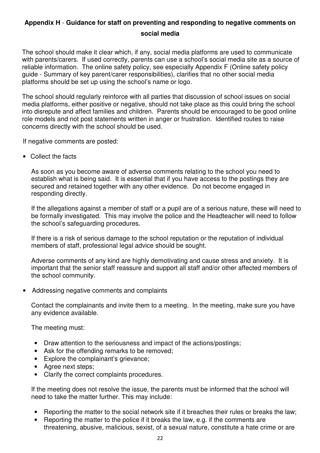### **Appendix H** - **Guidance for staff on preventing and responding to negative comments on social media**

The school should make it clear which, if any, social media platforms are used to communicate with parents/carers. If used correctly, parents can use a school's social media site as a source of reliable information. The online safety policy, see especially Appendix F (Online safety policy guide - Summary of key parent/carer responsibilities), clarifies that no other social media platforms should be set up using the school's name or logo.

The school should regularly reinforce with all parties that discussion of school issues on social media platforms, either positive or negative, should not take place as this could bring the school into disrepute and affect families and children. Parents should be encouraged to be good online role models and not post statements written in anger or frustration. Identified routes to raise concerns directly with the school should be used.

If negative comments are posted:

• Collect the facts

As soon as you become aware of adverse comments relating to the school you need to establish what is being said. It is essential that if you have access to the postings they are secured and retained together with any other evidence. Do not become engaged in responding directly.

If the allegations against a member of staff or a pupil are of a serious nature, these will need to be formally investigated. This may involve the police and the Headteacher will need to follow the school's safeguarding procedures.

If there is a risk of serious damage to the school reputation or the reputation of individual members of staff, professional legal advice should be sought.

Adverse comments of any kind are highly demotivating and cause stress and anxiety. It is important that the senior staff reassure and support all staff and/or other affected members of the school community.

• Addressing negative comments and complaints

Contact the complainants and invite them to a meeting. In the meeting, make sure you have any evidence available.

The meeting must:

- Draw attention to the seriousness and impact of the actions/postings;
- Ask for the offending remarks to be removed;
- Explore the complainant's grievance;
- Agree next steps;
- Clarify the correct complaints procedures.

If the meeting does not resolve the issue, the parents must be informed that the school will need to take the matter further. This may include:

- Reporting the matter to the social network site if it breaches their rules or breaks the law;
- Reporting the matter to the police if it breaks the law, e.g. if the comments are threatening, abusive, malicious, sexist, of a sexual nature, constitute a hate crime or are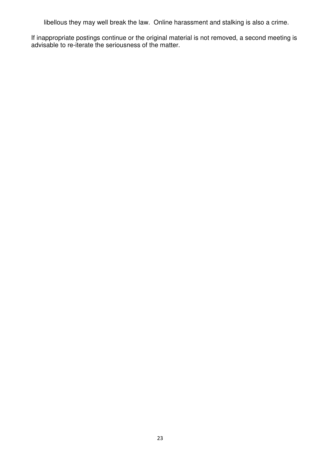libellous they may well break the law. Online harassment and stalking is also a crime.

If inappropriate postings continue or the original material is not removed, a second meeting is advisable to re-iterate the seriousness of the matter.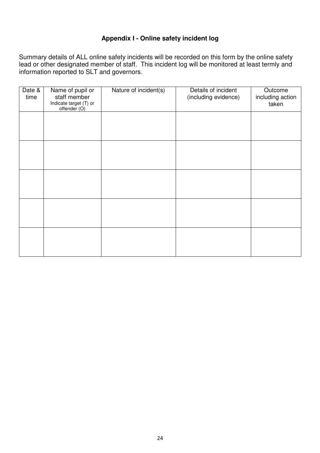#### **Appendix I - Online safety incident log**

Summary details of ALL online safety incidents will be recorded on this form by the online safety lead or other designated member of staff. This incident log will be monitored at least termly and information reported to SLT and governors.

| Date &<br>time | Name of pupil or<br>staff member<br>Indicate target (T) or<br>offender (O) | Nature of incident(s) | Details of incident<br>(including evidence) | Outcome<br>including action<br>taken |
|----------------|----------------------------------------------------------------------------|-----------------------|---------------------------------------------|--------------------------------------|
|                |                                                                            |                       |                                             |                                      |
|                |                                                                            |                       |                                             |                                      |
|                |                                                                            |                       |                                             |                                      |
|                |                                                                            |                       |                                             |                                      |
|                |                                                                            |                       |                                             |                                      |